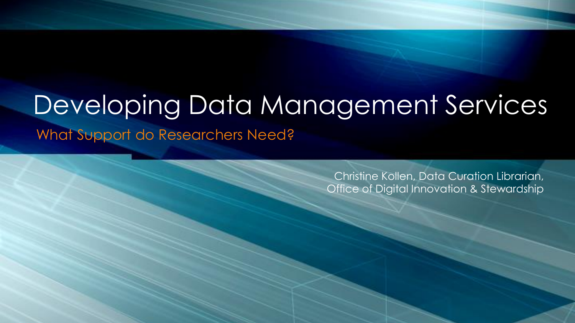## Developing Data Management Services

What Support do Researchers Need?

Christine Kollen, Data Curation Librarian, Office of Digital Innovation & Stewardship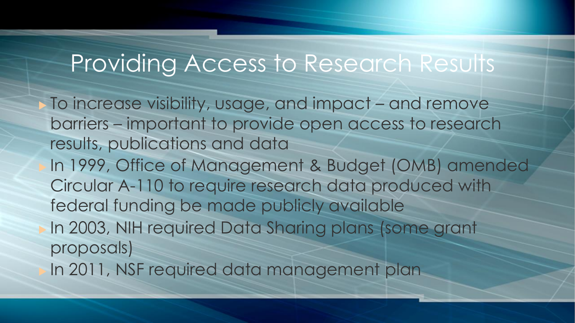## Providing Access to Research Results

 To increase visibility, usage, and impact – and remove barriers – important to provide open access to research results, publications and data In 1999, Office of Management & Budget (OMB) amended Circular A-110 to require research data produced with federal funding be made publicly available In 2003, NIH required Data Sharing plans (some grant proposals) In 2011, NSF required data management plan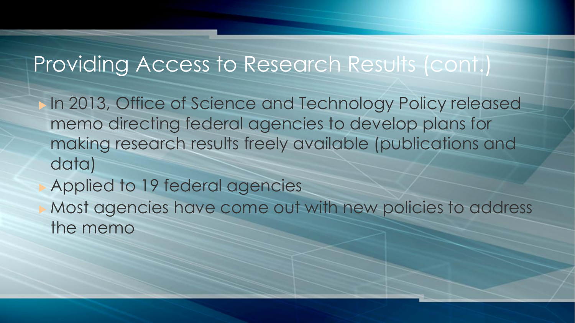### Providing Access to Research Results (cont.)

 In 2013, Office of Science and Technology Policy released memo directing federal agencies to develop plans for making research results freely available (publications and data)

Applied to 19 federal agencies

 Most agencies have come out with new policies to address the memo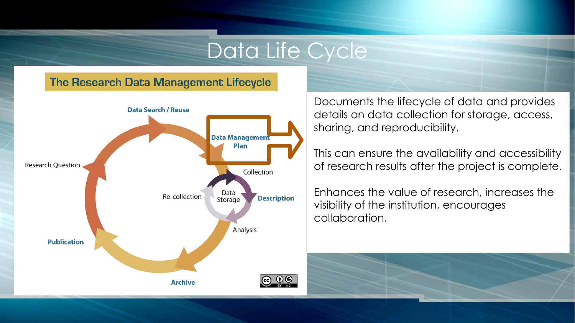#### Data Life Cycle

#### **The Research Data Management Lifecycle**



Documents the lifecycle of data and provides details on data collection for storage, access, sharing, and reproducibility.

This can ensure the availability and accessibility of research results after the project is complete.

Enhances the value of research, increases the visibility of the institution, encourages collaboration.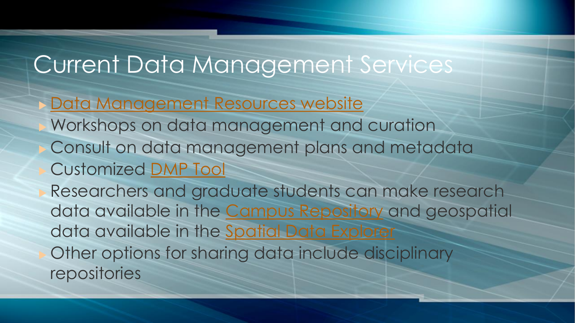## Current Data Management Services

- [Data Management Resources website](http://data.library.arizona.edu/)
- Workshops on data management and curation Consult on data management plans and metadata Customized [DMP Tool](https://dmptool.org/)
- Researchers and graduate students can make research data available in the [Campus Repository](http://arizona.openrepository.com/arizona/) and geospatial data available in the [Spatial Data Explorer](https://geo.library.arizona.edu/) Other options for sharing data include disciplinary repositories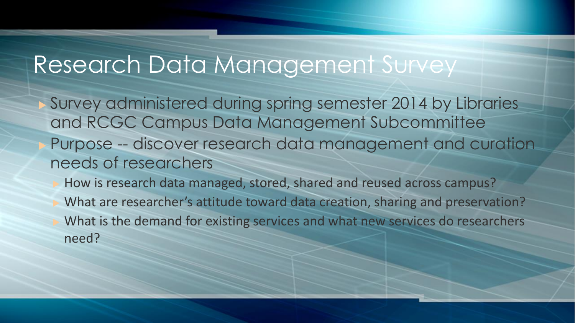## Research Data Management Survey

 Survey administered during spring semester 2014 by Libraries and RCGC Campus Data Management Subcommittee Purpose -- discover research data management and curation needs of researchers

 How is research data managed, stored, shared and reused across campus? What are researcher's attitude toward data creation, sharing and preservation? What is the demand for existing services and what new services do researchers need?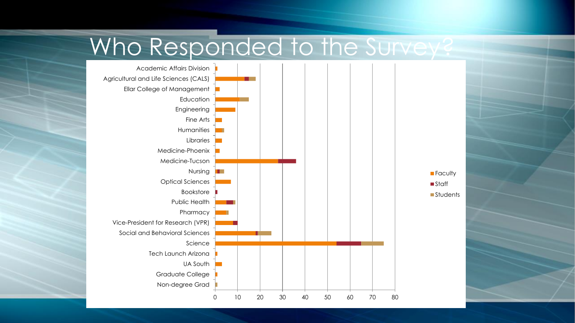

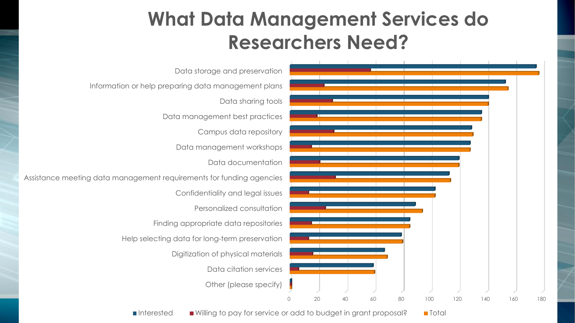### **What Data Management Services do Researchers Need?**



Data citation services Digitization of physical materials Help selecting data for long-term preservation Finding appropriate data repositories Personalized consultation Confidentiality and legal issues Assistance meeting data management requirements for funding agencies Data documentation Data management workshops Campus data repository Data management best practices Data sharing tools Information or help preparing data management plans

 $\blacksquare$  Interested  $\blacksquare$  Willing to pay for service or add to budget in grant proposal?  $\blacksquare$  Total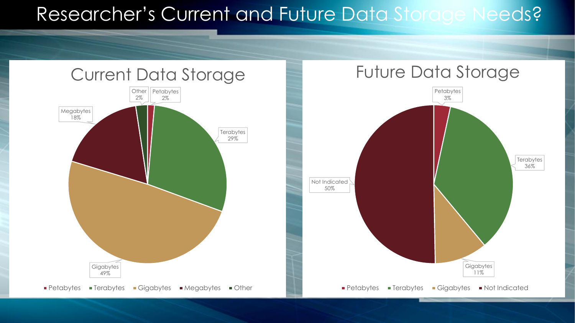#### Researcher's Current and Future Data Storage Needs?





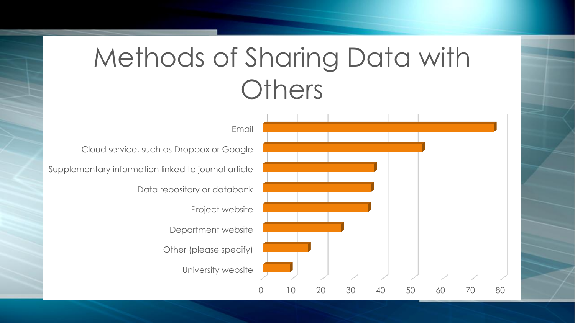# Methods of Sharing Data with **Others**

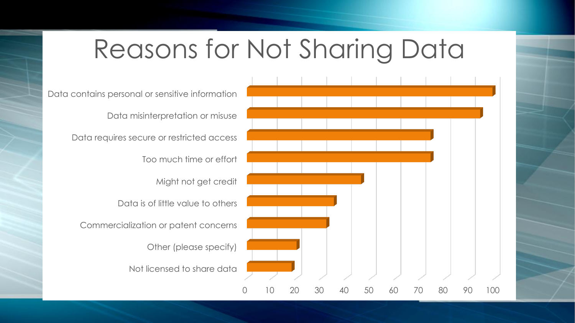## Reasons for Not Sharing Data

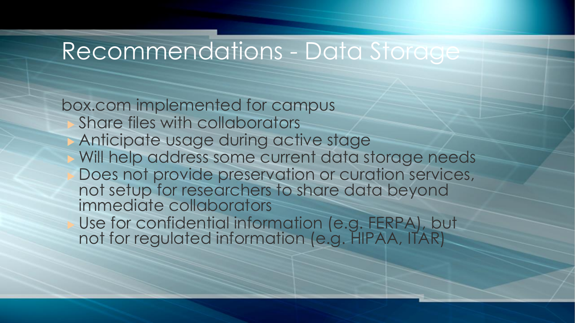## Recommendations - Data Storage

box.com implemented for campus Share files with collaborators Anticipate usage during active stage Will help address some current data storage needs Does not provide preservation or curation services, not setup for researchers to share data beyond immediate collaborators Use for confidential information (e.g. FERPA), but not for regulated information (e.g. HIPAA, ITAR)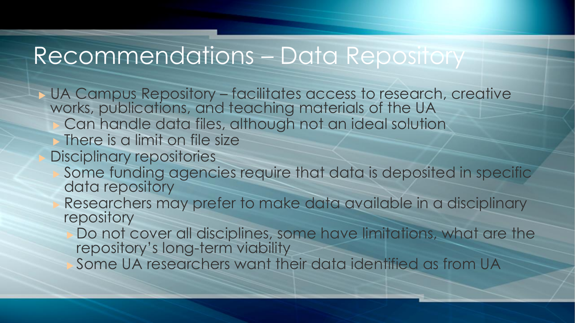## Recommendations – Data Repository

▶ UA Campus Repository – facilitates access to research, creative works, publications, and teaching materials of the UA Can handle data files, although not an ideal solution There is a limit on file size Disciplinary repositories Some funding agencies require that data is deposited in specific data repository Researchers may prefer to make data available in a disciplinary repository Do not cover all disciplines, some have limitations, what are the repository's long-term viability Some UA researchers want their data identified as from UA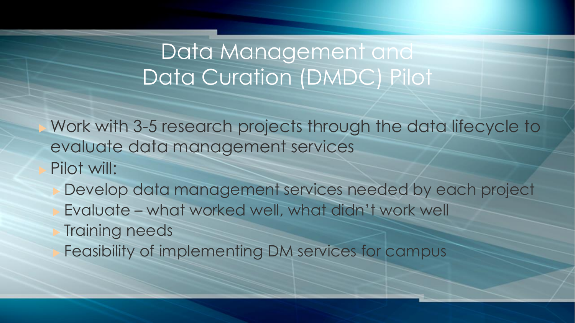### Data Management and Data Curation (DMDC) Pilot

 Work with 3-5 research projects through the data lifecycle to evaluate data management services Pilot will:

 Develop data management services needed by each project Evaluate – what worked well, what didn't work well Training needs Feasibility of implementing DM services for campus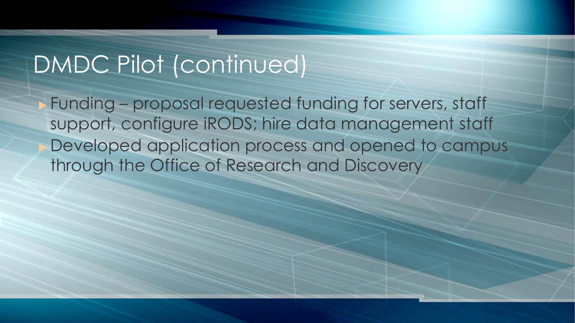## DMDC Pilot (continued)

 Funding – proposal requested funding for servers, staff support, configure iRODS; hire data management staff Developed application process and opened to campus through the Office of Research and Discovery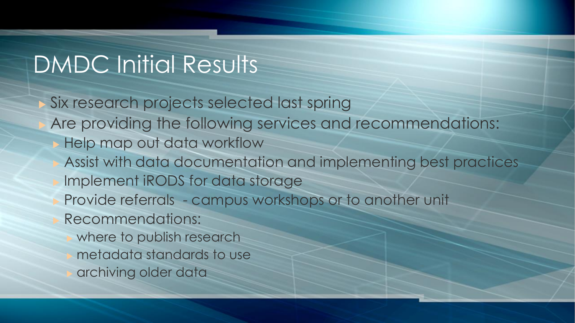## DMDC Initial Results

 Six research projects selected last spring Are providing the following services and recommendations: Help map out data workflow Assist with data documentation and implementing best practices Implement iRODS for data storage Provide referrals - campus workshops or to another unit Recommendations: where to publish research metadata standards to use archiving older data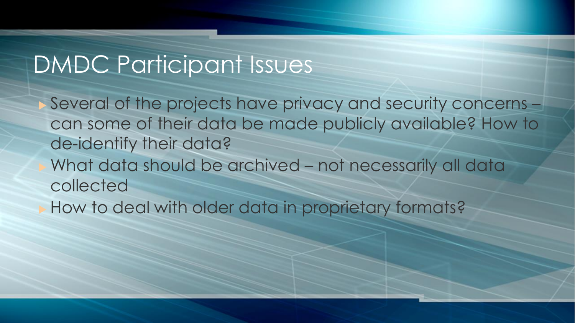## DMDC Participant Issues

 Several of the projects have privacy and security concerns – can some of their data be made publicly available? How to de-identify their data? What data should be archived – not necessarily all data collected How to deal with older data in proprietary formats?